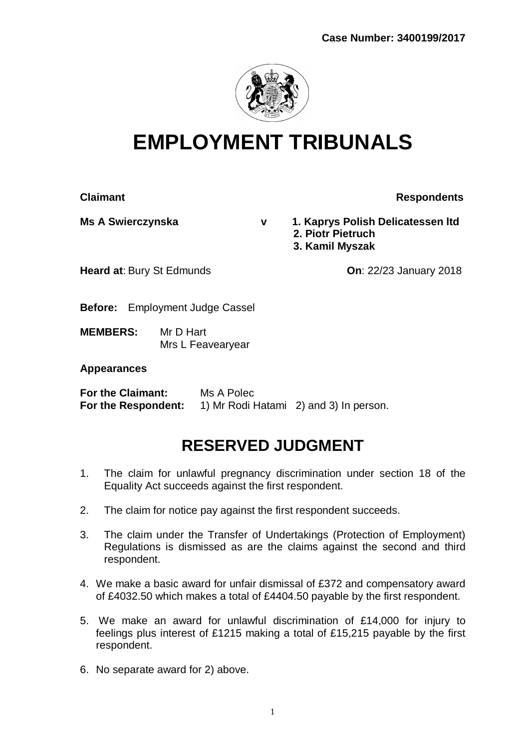

# **EMPLOYMENT TRIBUNALS**

**Claimant Claimant Respondents** 

**Ms A Swierczynska v 1. Kaprys Polish Delicatessen ltd 2. Piotr Pietruch 3. Kamil Myszak**

**Heard at: Bury St Edmunds Contract Cone Contract Cone Cone 2018** 

**Before:** Employment Judge Cassel

**MEMBERS:** Mr D Hart Mrs L Feavearyear

### **Appearances**

**For the Claimant:** Ms A Polec **For the Respondent:** 1) Mr Rodi Hatami 2) and 3) In person.

# **RESERVED JUDGMENT**

- 1. The claim for unlawful pregnancy discrimination under section 18 of the Equality Act succeeds against the first respondent.
- 2. The claim for notice pay against the first respondent succeeds.
- 3. The claim under the Transfer of Undertakings (Protection of Employment) Regulations is dismissed as are the claims against the second and third respondent.
- 4. We make a basic award for unfair dismissal of £372 and compensatory award of £4032.50 which makes a total of £4404.50 payable by the first respondent.
- 5. We make an award for unlawful discrimination of £14,000 for injury to feelings plus interest of £1215 making a total of £15,215 payable by the first respondent.
- 6. No separate award for 2) above.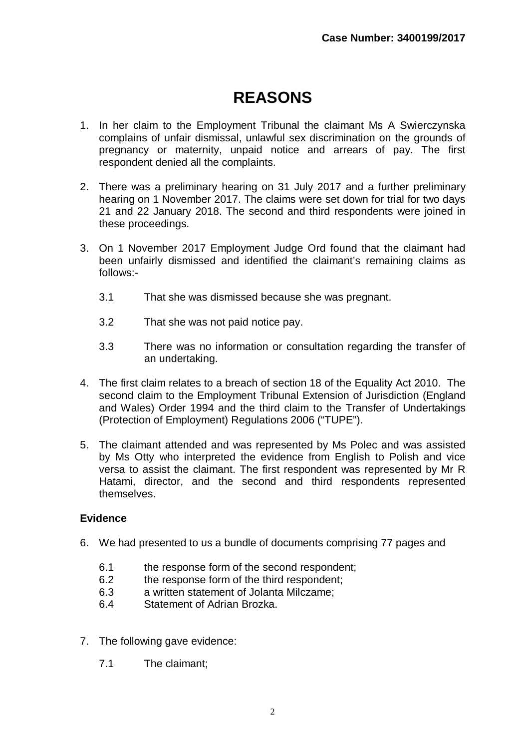# **REASONS**

- 1. In her claim to the Employment Tribunal the claimant Ms A Swierczynska complains of unfair dismissal, unlawful sex discrimination on the grounds of pregnancy or maternity, unpaid notice and arrears of pay. The first respondent denied all the complaints.
- 2. There was a preliminary hearing on 31 July 2017 and a further preliminary hearing on 1 November 2017. The claims were set down for trial for two days 21 and 22 January 2018. The second and third respondents were joined in these proceedings.
- 3. On 1 November 2017 Employment Judge Ord found that the claimant had been unfairly dismissed and identified the claimant's remaining claims as follows:-
	- 3.1 That she was dismissed because she was pregnant.
	- 3.2 That she was not paid notice pay.
	- 3.3 There was no information or consultation regarding the transfer of an undertaking.
- 4. The first claim relates to a breach of section 18 of the Equality Act 2010. The second claim to the Employment Tribunal Extension of Jurisdiction (England and Wales) Order 1994 and the third claim to the Transfer of Undertakings (Protection of Employment) Regulations 2006 ("TUPE").
- 5. The claimant attended and was represented by Ms Polec and was assisted by Ms Otty who interpreted the evidence from English to Polish and vice versa to assist the claimant. The first respondent was represented by Mr R Hatami, director, and the second and third respondents represented themselves.

#### **Evidence**

- 6. We had presented to us a bundle of documents comprising 77 pages and
	- 6.1 the response form of the second respondent;
	- 6.2 the response form of the third respondent;
	- 6.3 a written statement of Jolanta Milczame;
	- 6.4 Statement of Adrian Brozka.
- 7. The following gave evidence:
	- 7.1 The claimant;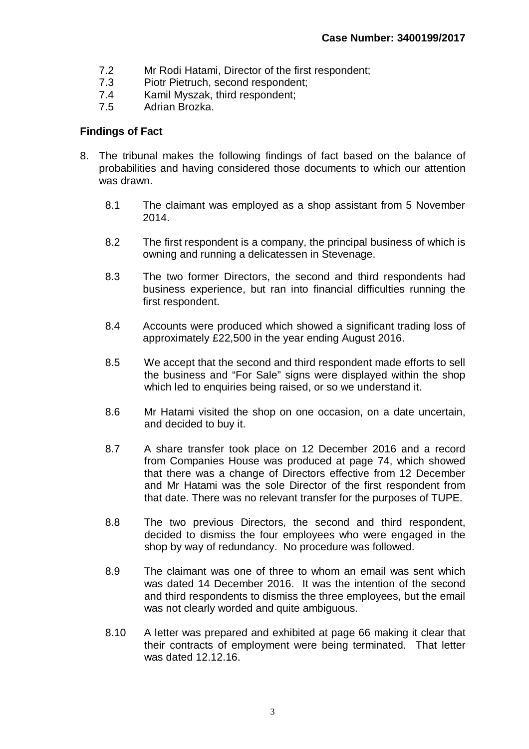- 7.2 Mr Rodi Hatami, Director of the first respondent;
- 7.3 Piotr Pietruch, second respondent;
- 7.4 Kamil Myszak, third respondent;
- 7.5 Adrian Brozka.

#### **Findings of Fact**

- 8. The tribunal makes the following findings of fact based on the balance of probabilities and having considered those documents to which our attention was drawn.
	- 8.1 The claimant was employed as a shop assistant from 5 November 2014.
	- 8.2 The first respondent is a company, the principal business of which is owning and running a delicatessen in Stevenage.
	- 8.3 The two former Directors, the second and third respondents had business experience, but ran into financial difficulties running the first respondent.
	- 8.4 Accounts were produced which showed a significant trading loss of approximately £22,500 in the year ending August 2016.
	- 8.5 We accept that the second and third respondent made efforts to sell the business and "For Sale" signs were displayed within the shop which led to enquiries being raised, or so we understand it.
	- 8.6 Mr Hatami visited the shop on one occasion, on a date uncertain, and decided to buy it.
	- 8.7 A share transfer took place on 12 December 2016 and a record from Companies House was produced at page 74, which showed that there was a change of Directors effective from 12 December and Mr Hatami was the sole Director of the first respondent from that date. There was no relevant transfer for the purposes of TUPE.
	- 8.8 The two previous Directors, the second and third respondent, decided to dismiss the four employees who were engaged in the shop by way of redundancy. No procedure was followed.
	- 8.9 The claimant was one of three to whom an email was sent which was dated 14 December 2016. It was the intention of the second and third respondents to dismiss the three employees, but the email was not clearly worded and quite ambiguous.
	- 8.10 A letter was prepared and exhibited at page 66 making it clear that their contracts of employment were being terminated. That letter was dated 12.12.16.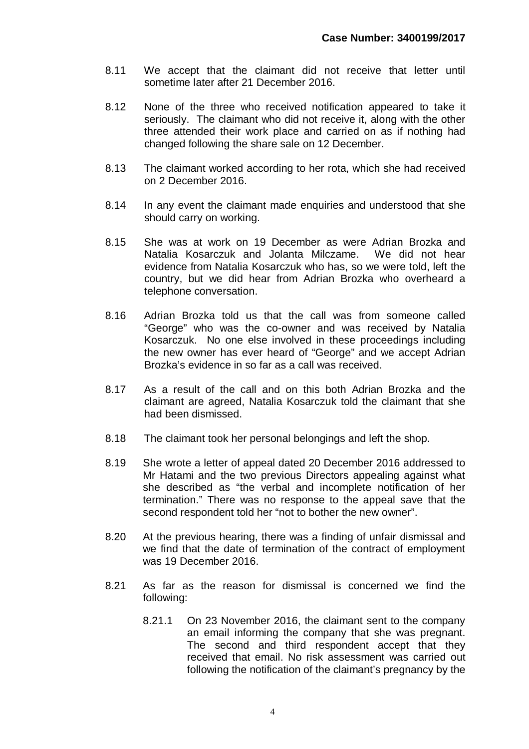- 8.11 We accept that the claimant did not receive that letter until sometime later after 21 December 2016.
- 8.12 None of the three who received notification appeared to take it seriously. The claimant who did not receive it, along with the other three attended their work place and carried on as if nothing had changed following the share sale on 12 December.
- 8.13 The claimant worked according to her rota, which she had received on 2 December 2016.
- 8.14 In any event the claimant made enquiries and understood that she should carry on working.
- 8.15 She was at work on 19 December as were Adrian Brozka and Natalia Kosarczuk and Jolanta Milczame. We did not hear evidence from Natalia Kosarczuk who has, so we were told, left the country, but we did hear from Adrian Brozka who overheard a telephone conversation.
- 8.16 Adrian Brozka told us that the call was from someone called "George" who was the co-owner and was received by Natalia Kosarczuk. No one else involved in these proceedings including the new owner has ever heard of "George" and we accept Adrian Brozka's evidence in so far as a call was received.
- 8.17 As a result of the call and on this both Adrian Brozka and the claimant are agreed, Natalia Kosarczuk told the claimant that she had been dismissed.
- 8.18 The claimant took her personal belongings and left the shop.
- 8.19 She wrote a letter of appeal dated 20 December 2016 addressed to Mr Hatami and the two previous Directors appealing against what she described as "the verbal and incomplete notification of her termination." There was no response to the appeal save that the second respondent told her "not to bother the new owner".
- 8.20 At the previous hearing, there was a finding of unfair dismissal and we find that the date of termination of the contract of employment was 19 December 2016.
- 8.21 As far as the reason for dismissal is concerned we find the following:
	- 8.21.1 On 23 November 2016, the claimant sent to the company an email informing the company that she was pregnant. The second and third respondent accept that they received that email. No risk assessment was carried out following the notification of the claimant's pregnancy by the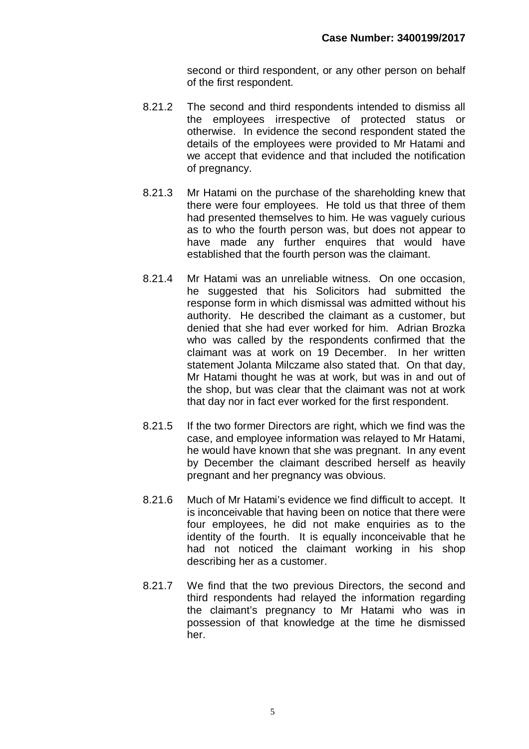second or third respondent, or any other person on behalf of the first respondent.

- 8.21.2 The second and third respondents intended to dismiss all the employees irrespective of protected status or otherwise. In evidence the second respondent stated the details of the employees were provided to Mr Hatami and we accept that evidence and that included the notification of pregnancy.
- 8.21.3 Mr Hatami on the purchase of the shareholding knew that there were four employees. He told us that three of them had presented themselves to him. He was vaguely curious as to who the fourth person was, but does not appear to have made any further enquires that would have established that the fourth person was the claimant.
- 8.21.4 Mr Hatami was an unreliable witness. On one occasion, he suggested that his Solicitors had submitted the response form in which dismissal was admitted without his authority. He described the claimant as a customer, but denied that she had ever worked for him. Adrian Brozka who was called by the respondents confirmed that the claimant was at work on 19 December. In her written statement Jolanta Milczame also stated that. On that day, Mr Hatami thought he was at work, but was in and out of the shop, but was clear that the claimant was not at work that day nor in fact ever worked for the first respondent.
- 8.21.5 If the two former Directors are right, which we find was the case, and employee information was relayed to Mr Hatami, he would have known that she was pregnant. In any event by December the claimant described herself as heavily pregnant and her pregnancy was obvious.
- 8.21.6 Much of Mr Hatami's evidence we find difficult to accept. It is inconceivable that having been on notice that there were four employees, he did not make enquiries as to the identity of the fourth. It is equally inconceivable that he had not noticed the claimant working in his shop describing her as a customer.
- 8.21.7 We find that the two previous Directors, the second and third respondents had relayed the information regarding the claimant's pregnancy to Mr Hatami who was in possession of that knowledge at the time he dismissed her.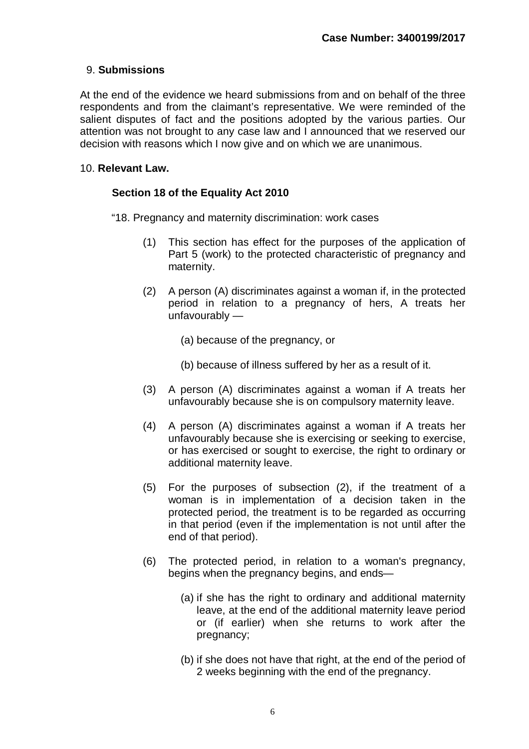#### 9. **Submissions**

At the end of the evidence we heard submissions from and on behalf of the three respondents and from the claimant's representative. We were reminded of the salient disputes of fact and the positions adopted by the various parties. Our attention was not brought to any case law and I announced that we reserved our decision with reasons which I now give and on which we are unanimous.

#### 10. **Relevant Law.**

#### **Section 18 of the Equality Act 2010**

- "18. Pregnancy and maternity discrimination: work cases
	- (1) This section has effect for the purposes of the application of Part 5 (work) to the protected characteristic of pregnancy and maternity.
	- (2) A person (A) discriminates against a woman if, in the protected period in relation to a pregnancy of hers, A treats her unfavourably —
		- (a) because of the pregnancy, or
		- (b) because of illness suffered by her as a result of it.
	- (3) A person (A) discriminates against a woman if A treats her unfavourably because she is on compulsory maternity leave.
	- (4) A person (A) discriminates against a woman if A treats her unfavourably because she is exercising or seeking to exercise, or has exercised or sought to exercise, the right to ordinary or additional maternity leave.
	- (5) For the purposes of subsection (2), if the treatment of a woman is in implementation of a decision taken in the protected period, the treatment is to be regarded as occurring in that period (even if the implementation is not until after the end of that period).
	- (6) The protected period, in relation to a woman's pregnancy, begins when the pregnancy begins, and ends—
		- (a) if she has the right to ordinary and additional maternity leave, at the end of the additional maternity leave period or (if earlier) when she returns to work after the pregnancy;
		- (b) if she does not have that right, at the end of the period of 2 weeks beginning with the end of the pregnancy.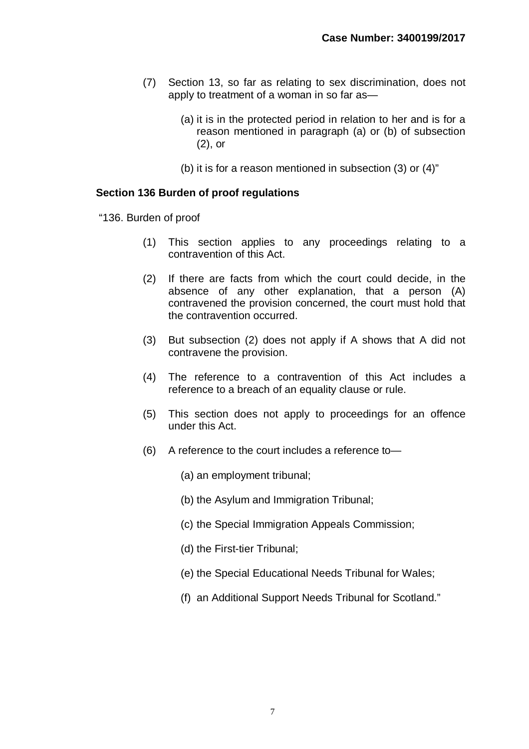- (7) Section 13, so far as relating to sex discrimination, does not apply to treatment of a woman in so far as—
	- (a) it is in the protected period in relation to her and is for a reason mentioned in paragraph (a) or (b) of subsection (2), or
	- (b) it is for a reason mentioned in subsection (3) or (4)"

#### **Section 136 Burden of proof regulations**

"136. Burden of proof

- (1) This section applies to any proceedings relating to a contravention of this Act.
- (2) If there are facts from which the court could decide, in the absence of any other explanation, that a person (A) contravened the provision concerned, the court must hold that the contravention occurred.
- (3) But subsection (2) does not apply if A shows that A did not contravene the provision.
- (4) The reference to a contravention of this Act includes a reference to a breach of an equality clause or rule.
- (5) This section does not apply to proceedings for an offence under this Act.
- (6) A reference to the court includes a reference to—
	- (a) an employment tribunal;
	- (b) the Asylum and Immigration Tribunal;
	- (c) the Special Immigration Appeals Commission;
	- (d) the First-tier Tribunal;
	- (e) the Special Educational Needs Tribunal for Wales;
	- (f) an Additional Support Needs Tribunal for Scotland."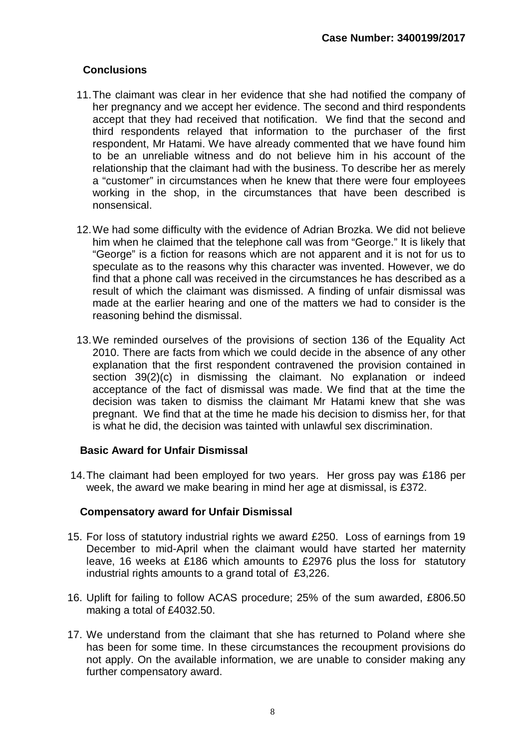## **Conclusions**

- 11.The claimant was clear in her evidence that she had notified the company of her pregnancy and we accept her evidence. The second and third respondents accept that they had received that notification. We find that the second and third respondents relayed that information to the purchaser of the first respondent, Mr Hatami. We have already commented that we have found him to be an unreliable witness and do not believe him in his account of the relationship that the claimant had with the business. To describe her as merely a "customer" in circumstances when he knew that there were four employees working in the shop, in the circumstances that have been described is nonsensical.
- 12.We had some difficulty with the evidence of Adrian Brozka. We did not believe him when he claimed that the telephone call was from "George." It is likely that "George" is a fiction for reasons which are not apparent and it is not for us to speculate as to the reasons why this character was invented. However, we do find that a phone call was received in the circumstances he has described as a result of which the claimant was dismissed. A finding of unfair dismissal was made at the earlier hearing and one of the matters we had to consider is the reasoning behind the dismissal.
- 13.We reminded ourselves of the provisions of section 136 of the Equality Act 2010. There are facts from which we could decide in the absence of any other explanation that the first respondent contravened the provision contained in section 39(2)(c) in dismissing the claimant. No explanation or indeed acceptance of the fact of dismissal was made. We find that at the time the decision was taken to dismiss the claimant Mr Hatami knew that she was pregnant. We find that at the time he made his decision to dismiss her, for that is what he did, the decision was tainted with unlawful sex discrimination.

### **Basic Award for Unfair Dismissal**

14.The claimant had been employed for two years. Her gross pay was £186 per week, the award we make bearing in mind her age at dismissal, is £372.

#### **Compensatory award for Unfair Dismissal**

- 15. For loss of statutory industrial rights we award £250. Loss of earnings from 19 December to mid-April when the claimant would have started her maternity leave, 16 weeks at £186 which amounts to £2976 plus the loss for statutory industrial rights amounts to a grand total of £3,226.
- 16. Uplift for failing to follow ACAS procedure; 25% of the sum awarded, £806.50 making a total of £4032.50.
- 17. We understand from the claimant that she has returned to Poland where she has been for some time. In these circumstances the recoupment provisions do not apply. On the available information, we are unable to consider making any further compensatory award.